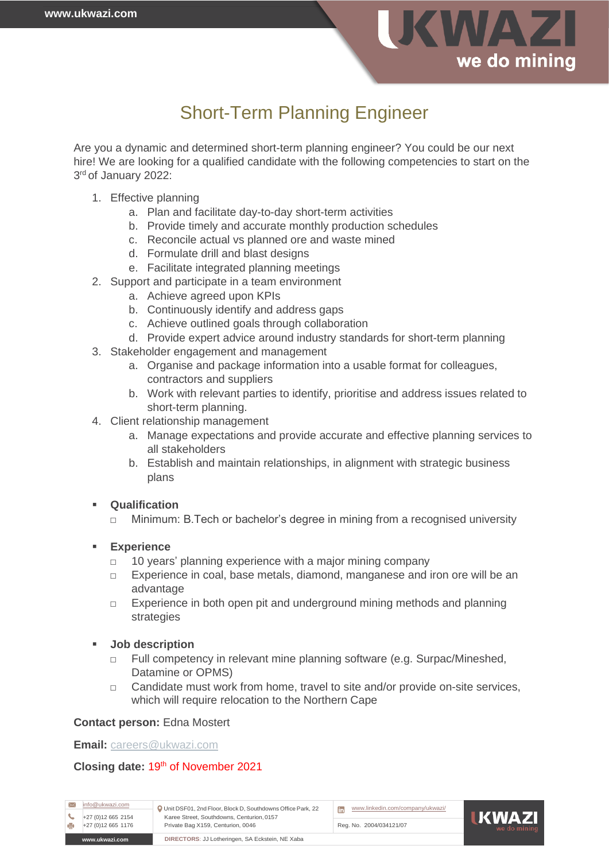

# Short-Term Planning Engineer

Are you a dynamic and determined short-term planning engineer? You could be our next hire! We are looking for a qualified candidate with the following competencies to start on the 3 rd of January 2022:

- 1. Effective planning
	- a. Plan and facilitate day-to-day short-term activities
	- b. Provide timely and accurate monthly production schedules
	- c. Reconcile actual vs planned ore and waste mined
	- d. Formulate drill and blast designs
	- e. Facilitate integrated planning meetings
- 2. Support and participate in a team environment
	- a. Achieve agreed upon KPIs
	- b. Continuously identify and address gaps
	- c. Achieve outlined goals through collaboration
	- d. Provide expert advice around industry standards for short-term planning
- 3. Stakeholder engagement and management
	- a. Organise and package information into a usable format for colleagues, contractors and suppliers
	- b. Work with relevant parties to identify, prioritise and address issues related to short-term planning.
- 4. Client relationship management
	- a. Manage expectations and provide accurate and effective planning services to all stakeholders
	- b. Establish and maintain relationships, in alignment with strategic business plans

# **Qualification**

□ Minimum: B.Tech or bachelor's degree in mining from a recognised university

# ▪ **Experience**

- □ 10 years' planning experience with a major mining company
- □ Experience in coal, base metals, diamond, manganese and iron ore will be an advantage
- $\Box$  Experience in both open pit and underground mining methods and planning strategies

# ▪ **Job description**

- □ Full competency in relevant mine planning software (e.g. Surpac/Mineshed, Datamine or OPMS)
- □ Candidate must work from home, travel to site and/or provide on-site services, which will require relocation to the Northern Cape

# **Contact person:** Edna Mostert

**Email:** [careers@ukwazi.com](mailto:careers@ukwazi.com)

# Closing date: 19<sup>th</sup> of November 2021

[info@ukwazi.com](mailto:info@ukwazi.com) Unit DSF01, 2nd Floor, Block D, Southdowns Office Park, 22 Karee Street, Southdowns, Centurion,0157 Private Bag X159, Centurion, 0046 +27 (0)12 665 1176 Reg. No. 2004/034121/07  $+27$  (0)12 665 2154



**IKWAZ** 

**[www.ukwazi.com](http://www.ukwazi.com/) DIRECTORS**: JJ Lotheringen, SA Eckstein, NE Xaba